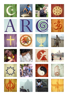













































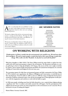

ARC is a secular body that was established to help<br>the major world religions develop environmental<br>beliefs and practices. the major world religions develop environmental **L**programmes based on their own core teachings, beliefs and practices.

We help the religions link with key environmental organisations, creating powerful alliances. We help the faiths develop practical projects that make a real difference, using the resources of the faiths themselves.

We became an independent charity in 1995, after operating for a decade under the umbrella of WWF. We now work with scores of different traditions within the world's eleven major religions.

### **ARC MEMBER FAITHS**

BAHA'ISM **BUDDHISM CHRISTIANITY** DAOISM HINDUISM ISLAM JAINISM JUDAISM SHINTOISM SIKHISM ZOROASTRIANISM

## **ON WORKING WITH RELIGIONS**

*"If information is all that is needed, then the environmental crisis would be over. We need more than facts and figures. We need to inspire people, to make them look at their ways of living, to make them change. Who is able to do this? The faiths. So why don't we work with the faiths?"*

**With these thoughts in 1986, H.R.H. The Prince Philip invited the major faiths to explore how they could work with conservation groups to improve the environment. The discussions took place at a major gathering in Assisi in Italy, the birthplace of St Francis. The success of this event caught everybody by surprise, and in response WWF International and WWF-UK assisted the development of a network working on Conservation and Religion for the next nine years.**

**The increasing requests for help from environmental groups and faith communities led Prince Philip in 1995 to launch a new organisation, the Alliance of Religions and Conservation, to work full time on these developments. From five faiths in 1986 to eleven in 2000 the range of religiously-based projects around the world has continued to grow. Our role has increasingly been to find appropriate secular partners, with the imagination and creativity to work with the faiths as equals.** 

**In 1986 many people, including some from the faiths themselves, were sceptical about religions playing a significant role. Now it is almost universally assumed this will happen. And the participation of the religions has become part of the way many programmes on the environment are now conceived. We are honoured to be part of making this happen.**

**Martin Palmer, Secretary General, ARC.**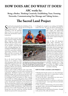# **HOW DOES ARC DO WHAT IT DOES?**

**ARC works by:** 

**Being a Broker, Thinking Creatively, Establishing Trust, Forming Networks, Communicating Our Message and Taking Action...**

## **The Sacred Land Project**

Sacred Land was launched by the terbury in April 1997 with the creating sacred sites - and of reminding us that the landscape acred Land was launched by the Archbishop of Canterbury in April 1997 with the aim of reviving and

creating sacred sites - and of where we live is as sacred as any Holy Land, and therefore needs to be protected.

In the UK, where it started, Sacred Land involved working with Buddhist, Christian, Hindu, Jewish, Muslim, Sikh and secular communities on projects as diverse as inner-city gardens; conserving holy wells; renewing pilgrimage trails including the Walsingham trail pictured here; protecting woodlands; regenerating community meeting places and their eco-systems; and celebrating sacred places with art and poems.

Key to the Sacred Land Project's success was its mission to work only with groups (rather than with individuals) on projects open to the public. It was ARC's first major undertaking in Britain and it had the backing of many principal church

leaders as well as leaders of Britain's other major faiths. It also had the support of several secular environmental organisations. Hundreds of projects were initiated and followed through, and it was this success that led to ARC launching a two-pronged international programme - first by developing Sacred Land projects in other countries and secondly by working with groups such as UNDP, Conservation International,WWF and the World Bank to have "Sacred Land" recognised as a term of protection. This has involved joint research on the ecological significance of sacred land, including the book "*Beyond Belief"* published by WWF-International in 2006, which shows how most of the world's National Parks only exist today because they were once sacred sites, and have therefore already been protected for many generations.



Top: Mongolian monks bless a new stupa marking sacred land. Below: Each year the Mexican Huichol people make a 400 mile pilgrimage to the sacred Huiricuta "Field of Flowers" mountain. ARC has helped them protect this fragile landscape; its wildlife, plants and secret places.

In Mongolia for example we are working with Buddhist monks and nuns, who since the fall of communism in

1990 have been both rebuilding their temples and rediscovering the sacred landscape of their country. More than sixty years under enforced atheism had led to most of the ancient scriptures being lost in the purges.

Some of these old documents taught which mountains, forests and valleys were sacred and should therefore be protected. In partnership with the monasteries and with the World Bank, ARC helped rediscover these and translate them into modern Mongolian. Sometimes the wisdom is proven anew: on one mountain for example, people were told that if they removed the trees "the goddess" would flood their village. Recently, ecologists have concurred that this particular mountain has a fragile ecology, and logging it would threaten the water table - resulting inevitably in flooding.

#### **HOW TO START A SACRED LAND PROJECT:**

 $\hat{P}$  Identify what the place means to you. If you don't have a wonderful story about why it is special then it will be hard to persuade anyone else to agree.

 $\ddot{\varphi}$  Link up with others - group projects are more succesful, more enjoyable and easier to fund.

 $\Leftrightarrow$  Ask questions about how it is used now, as well as how it was used in the past - create maps of the area and make contact with experts.

 $\Leftrightarrow$  After sessions of brainstorming and practical thinking together, make a clear practical management plan designed by and with the group.

 $\Im$  Think about how to communicate the project - through words, pictures, film, talks and websites.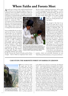## **Where Faiths and Forests Meet**

A round one in twenty of the world's forested hectares<br>is owned by one of the major religions. Some are sacred groves (never to be felled or hunted in). Others are designed for practical faith use - for temple construction, roof repairs or ceremonies like the Hindu Jagannath festi-

vals where huge chariots are paraded through the streets. But most faith forests are commercial. With recent advances in the understanding about the social and environmental importance of wooded landscapes, many religious forest owners want to manage their forest-lands better.

Forest standards like the one developed by the Forestry Stewardship Council (FSC) are very important in the secular world, but they were designed largely with the operations of commercial capitalist companies in mind - so ARC is helping the faiths prepare their own version, provisionally called the Religious Forestry Standard, or RFS, which will also incorporate theological considerations particular to the faiths that sign up. This initiative is taking place through a unique partnership brokered and assisted

by ARC, between the Church of Sweden and the Shinto of Japan - both of which are important forest owners.

This has created a surprising momentum, with an array of forest owning groups from other religions - as well as several secular bodies - joining the project. The aim is to have 80% of such forests signed up to RFS by the time the great wooden Shinto shrine of Ise, Japan is rebuilt

The Shinto of Japan believe they are protected by trees, and that they should therefore respect the power of forests and manage their own forests responsibly. The photo was taken at a ceremony in Visby, Sweden in honour of ARC's Faiths and Forests initiative.

in 2013 – an event to which the Shinto are inviting all forest-owning religions.

The strength of this kind of approach was made clear at an important planning meeting in Visby, Sweden in September 2007. Although the two host faiths saw the background to their roles as responsible forest owners quite differently - the Christians saw themselves as guardians or gardeners *of* Creation, and the Shintos saw themselves as protected *by* Creation. However both faith traditions emphasised the importance of managing their forests better - because it is the right thing to do. At that meeting the Church of Sweden pledged to protect its ancient meadows on the island of Gotland - treasure houses of rare flowers, and calm green oases among commercial forests. The

meadows, which were previously threatened, are now "Faith-Protected Environments, to be preserved forever".

#### **CASE STUDY: THE MARONITE FOREST OF HARISSA IN LEBANON**



The Qadisha Valley in Lebanon, traditional place of hermits and now a faith-protected landscape.

 $\sum$  he forest of Harissa climbs<br>steeply above the busy town of Jounieh, just north of Beirut. For more than 1000 years it has been virtually undisturbed, supporting a few orchard owners and plenty of plants and wild animals. But after the civil war of the 1980s, the developers started moving in with concrete and bulldozers, threatening this last green coastal space in the region, named by WWF one of the top 10 "Forest Hot Spots" in the Mediterranean. At its heart is the Maronite Church's Shrine to Our Lady, and her statue towers over the forest, which is perhaps appropriate as she might be seen as the key to its protection. The Maronite Church – representing Lebanon's most popular form of Christianity – owns a large proportion of Harissa and in 2000 it made an unprecedented move. With the support of ARC and local conservation group AFDC, the Patriarch pledged to make Harissa the world's first "Maronite- Protected Environment". This religious commitment has already advanced forest conservation for a diverse range of species, including ancient oaks. The church-owned forest land will not be the only area to be protected: other groups have been encouraged to make similar pledges. The township of Jounieh has pledged to oversee the protection of the part of the forest it owns, while several private owners have committed to protect their adjacent forest land – despite the temptations of developer money. The Church has since made a similar pledge for its ancient and threatened Qadisha "Valley of Hermits," while the project inspired volunteers in a nearby diocese to create an eco-religious tourism programme in its 77 villages, a protected oak forest in the church-lands around the monastery of St George, Bherdok, and an ecology education centre in the monastery building itself.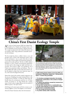

## **China's First Daoist Ecology Temple**

ARC and our Dutch partner EMF have helped Dao-<br>sts build an Eco-Temple and Training Centre at the<br>starting of the starting of the starting of the starting of the starting of the starting of the starting of the starting of foot of Taibaishan sacred mountain in Shaanxi Province. The temple was destroyed in the Cultural Revolution and was rebuilt in 2007 using traditional, sustainable materials and techniques.

The Eco-temple has about a million visitors a year, and provides many of them with information about caring for the environment - just at a point when they are open to new ideas. It hosts regular environmental training programmes for monks and nuns. The first, in 2006, inspired attendees to create a Daoist environmental organisation on issues such as solar energy (see right) and water conservation. The second, in 2007, was attended by 18 of China's most prominent abbots and abbesses. They not only pledged full audits of their land and resource use, but also agreed to adopt their most important sage, Lao Zi, as the God of Ecological Protection.

Master Ren, head of the mother temple Louguantai, says the process of building the temple awakened him to the ecological role of Daoism. "It made me think quite differently about the environment, and how we, as Daoist monks, can protect it," he said. Daoism has a unique sense of value in that it judges affluence by the number of different species," the report stated.

*If all things in the universe grow well, then a society is a community of affluence. If not, this kingdom is on the decline.*

(From the Daoist Statement about the Environment)



TOP: The Daoists held a special ritual to celebrate the opening of the Daoist Ecology Temple and Centre in 2007. That year they held their second environmental management workshop at the site, attended by Daoists from all over Shaanxi Province and beyond. Photo: Mike Shackleton. ABOVE: Just one year after the first workshop, several Daoist temples had installed solar heating units. This one is at Louguantai.

**In 2006 leading Daoist abbots at the first ARC ecoworkshop at Taibaishan signed the "Qinling Declaration" in which they promised:** 

- **1. To introduce ecological education into temple programmes, particularly in the context of temple construction.**
- **2. To reduce the pollution caused by incense burners and related fireworks.**
- **3. To use their farmed land in a sustainable way.**
- **4. To pay close attention to the protection of local**
- **species and to sustainable forestry.**
- **5. To use energy-saving technology.**
- **6. To protect nearby water resources.**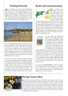### **Forming Networks**

ARC has helped create the first Asian Buddhist Environment Networks linking Thailand, Cambodia, Laos and Vietnam (in the Southern Buddhist area) and China, Mongolia, Japan and Russia (in the Northern Buddhist area). Our links in Cambodia have been particularly strong, with projects to grow saplings, create education programmes around the pagodas and even ordain forest trees as "monks" to protect fragile habitats.



ARC is also helping build an Africa Muslim Environment Network (AMEN) to link Muslim groups throughout sub-Saharan Africa (in their words "the poorest people in the poorest communities in the poorest part of the poorest continent"). The network is already beginning to unlock the huge potential for civic involvement of Muslims in sub-Saharan Africa, who often feel excluded. One programme includes encouraging traditional sustainable fishtraps in Kenya (see above).

We helped the Catholic Church in England and Wales create a year-long programme of environmental activities, including audits, footprint studies, liturgies, pilgrimages, talks and nature walks. It marks the Church's decision to engage seriously in green action. One of the outcomes was to create an e-mail and newsletter network for Catholic schools to discuss their environmental actions - and specially what it means to be Catholic carrying them out. This will be a model for other faith school eco-networks.

## **Books and Communications**



 $\bigcup_{\text{written and edited}}^{\text{ur constants have}}$ many influential books on the impact of faith on the environment. These include the acclaimed "*Atlas of Religions",* used by schools, governments, religious leaders

and many others around the world. Did you know that around 73 million Bibles are printed every year, making them the world's best-selling books? Or that since 1974, over 300 Islamic Banks have been created, handling \$250 billion in assets? The book shows how religions relate to government, laws, world hunger and wars. It also shows that with 80 percent of people professing some kind of religious allegiance, the organised faiths are critical stakeholders in the planet's future.



We also helped the Benedictines publish an eco handbook in Spanish, Portuguese and English entitled "*Listening to the Earth"*. It was initially designed for their monasteries in Latin America but there has been an enthusiastic take-up elsewhere. The book, which was funded mostly by The World Bank, is also available as

a free download from our website and has been used by schools, NGOs and missions from as far as the Dominican Republic and Australia. "Just yesterday we received the book "*Listening To The Earth",*" wrote one prior from a remote monastery in Kenya. "It gave me a sleepless night for I started reading it after Compline [night prayers] and only realised that it was nearly three o'clock when I went to sleep. The part on energy and electricity is of particular interest for me".

Our website, **www.arcworld.org**, is updated regularly, has thousands of visitors a day, and has - we are told been an inspiration to a variety of faith groups, secular groups and individuals looking for examples of faiths engaging actively in the environment.



Workers demonstrate a model eco-coffin in South Africa.

## **Having Creative Ideas**

For example, we are helping South Africa's Working for Water programme and the Invasive<br>Alien Species Programme in KwaZulu-Natal (government initiatives employing 30,000 people to remove invasive alien trees from the landscape), in a project to make "eco coffins" from the felled timber. This creates extra jobs and training, helps combat the devastating impacts of the invasive plants on water, bio-diversity, agriculture and wild fires, and cuts the cost of funerals for some of the poorest families. ARC is working to involve the churches as distributors of the subsidised coffins while also helping with viability studies for selling the eco-coffins elsewhere in the world at competive prices, to finance the core project. This is part of a World Bank-funded programme.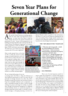# **Seven Year Plans for Generational Change**



RC and the United Nations are working together with the major faiths and faith-based women's groups to create Seven Year Plans to help face climate change and protect the natural environment for with the major faiths and faith-based women's groups to create Seven Year Plans to help face generations to come. As part of this programme we are building and improving links with secular groups like the United Nations Development Programme (a co-initiator

of this programme) as well as the World Bank, NGOs and donor governments. The faiths have never before been asked to partner the UN at such a high level.

Many secular groups focus on the idea of *ethics* as being the means by which changes in human behaviour can be effected. However, faiths often have a different approach tending rather to seek an *ethos* within which ethical choices are made. Such an ethos arises through the interaction of many different factors and forces ranging from storytelling to science, from sacred spaces and their rituals, from the market place to the human response to tragedy, and from spiritual teachers to novelists and playwrights.

ditional lifestyles which are gentler to the environment. We believe it is only by such long-term thinking that the issues surrounding climate change and the natural environment can be adequately addressed. These plans will be launched and acknowledged internationally.



One of our many partners in the Seven Year Plan is the Church of South India, in Kerala, which is addressing its transport and energy use, and promoting sustainable lifestyles.

#### **THE 7 KEY AREAS IN THE 7 YEAR PLANS**

**1. Education and young people – including school buildings and curricula. 2. Use of assets – land, investments, medical facilities, purchasing and property – consistent with faith values.**

**3. Pastoral care – through theological education, rediscovering past traditions and wisdom, and giving help and compassion to those who are suffering from the effects of climate change.**

- **4. Lifestyle Choices.**
- **5. Media and advocacy.**

**6. Partnerships and appointing staff dedicated to ecological work.**

**7. Celebration.**

#### **ECO-TWINNING**

We are inviting faith groups of any size

to develop Seven Year Plans to shape the behaviour of their faithful for generations to come. For some, this will primarily be through education; for others this will be through investing their pension and investment funds in long term sustainable industries such as alternative energy or sustainable housing; for others it will be through creating new prayers and songs for worship. It could be done through environmental management of religiously owned farmland, forestry or commercial properties, or through using faith-owned media to articulate environmental messages, or through promoting a revival of tra-

This is one of several important model initiatives within this programme. It involves faith groups in the global north setting up eco-twinning partnerships with counterparts in the south (initially Africa) who are already experiencing difficulties related to climate change. For the faith groups in threatened areas, the partnerships will: provide funding, active support and friendships in the north. For those in more privileged areas this is an important way of: staying informed about the degrading environment; really helping people in difficulty; finding friendships and ideas and also exploring effective and visible ways of reducing their carbon footprints.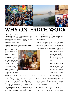

# **WHY ON EARTH WORK**

*HRH The Prince Philip was the inspiration behind the original WWF network of religions and conservation in 1986, when he was President of WWF-International. In 1995 he founded ARC and he has continued to support us ever since. This is extracted from an interview by ARC's Communications Director Victoria Finlay.* 

#### **What gave you the idea of bringing conservationists and religious leaders together?**

International was try-<br>International was try-<br>ing to do three things<br>around the world: raise n the 1980s WWF International was try- $\blacksquare$  ing to do three things money, develop conservation projects and educate the public. The first two were fine, but the last one had real difficulties. I argued that the kind of education we were doing through articles and lectures and books and films and things of that sort only reached the educated and probably only the middle classes in the various countries. The people we needed to get to were the



it does in Christianity anyway) that the Creation of the world was an act of God, then it follows naturally that if you belong to the church of God then you ought to look after His Creation.

It may not be sacred itself but the One who created it is sacred - so it seems logical that humans ought to have a certain responsibility for it. I was not quite sure what the other religions believed about the creation of the world but I guessed they had similar traditions. I therefore sug-

> gested that WWF invite leaders from the major religions to meet together to discuss what, if any, responsibility they felt they had for the natural environment as a "sacred" entity.

#### **What happened at Assisi?**

The five religious leaders [Buddhist, Christian, Hindu, Jewish and Muslim] agreed they had a responsibility and then we asked each of them to describe the attitude of their religion to the natural environment.

ARC's founder, HRH The Prince Philip, receives a copy of the Daoist scripture the DaoDeJing from ARC's China Projects Manager, Dr He Xiaoxin.

ones who lived in the areas of greatest risk, and the areas where the potential for biological diversity was highest. It occurred to me that the people who could most easily communicate with them were their religious leaders. They are in touch with their local population more than anyone else. If we could get local leaders to appreciate their responsibility for the environment then they would be able to explain that responsibility to the people of their faith. It was pretty obvious. If your religion tells you (as

We said: "we don't want to be ecumenical; we don't want a paper that has been agreed by everybody. Instead we want each of you to say what is relevant to you and your tradition". That avoided any business of trying to achieve any ecumenical solution.

But it also gave them the opportunity to talk to each other because there was no talk about dogma or if there was, then it was just about saying "well this is our dogma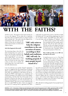

# **WITH THE FAITHS?**

and this is yours". The purpose of the Assisi meeting was to say to the religions: "If you think this is important then tell us what you think but don't try and get it agreed with everybody else". The result is that the religions now

communicate with each other on the subject of what they are doing for the conservation of nature, not about their religious dogma.

#### **And what happened afterwards?**

The interesting thing is that after the Assisi meeting there was a press conference and inevitably somebody said: "what are you going to do next?" We said we didn't know... so we sat down afterwards and talked about it. And what we all said was that main thing is that we don't want to burden the whole thing with a new body and its inevitable administration.

I was very reluctant to see another "formal" organisation set up, so I suggested that they should form an informal alliance. At first it was just called a "network", [until 1995, when ARC was established as a full charity] the idea being that the WWF would simply act as coordinator and technical consultant, to be called on if any of the religions wanted advice. And they did. One of the people was the Patriarch of Moscow just when the new government of Russia was handing back a lot of the church lands to the Orthodox Church. They were in a sense confronted with this: so we asked WWF for advice. And it was suggested that some of it could go back to agriculture but others

**"ARC only exists to help the religions contribute to the conservation of nature, according to their beliefs and traditions.. ARC will only be working properly if most people haven't heard of it."** 

could make very good nature reserves. And then in India the Hindus said: "we've got all these pilgrimage sites, how can we improve them?" And WWF gave them advice. It was the same with the Buddhists in Thailand - who

> set about trying to protect their forests from poaching and from people poaching trees. They all ran with it after that. The idea was that each religion should go off and do its best to "preach the gospel" of conservation and, if possible, initiate some practical projects of their own.

> **How would you like to see ARC improving over the years?**

> It should just go on as it is. The thing with ARC is that it doesn't exist. There is no "it". There are plenty of members or associates doing their own thing - talking to each other and ARC provides the way of doing that - but they actually do things individually. So if they want to keep talk-

ing and be associated with it then that's splendid. ARC is a means to an end and not an end in itself. It exists to help the religions to make their contributions to the conservation of nature according to their beliefs and traditions. It has no purpose other than to provide technical advice to whatever religion asks for it, about the conservation of nature - and to initiate multi-religious meetings to enable the religions to compare notes and report to each other about their practical conservation projects...

ARC will only be working properly if most people haven't heard of it.

**PHOTOS, L to R: 1.) Procession of faiths from the Kathmandu Faiths and the Environment event in 2000, organised by ARC and WWF. 2.) A seal is seen by the causeway to Mont St Michel in Normandy, just before a WWF conference on religious eco-initiatives. 3.) The launch of ARC at Windsor Castle in 1995. 4.) The launch of the Sacred Land Project by the Archbishop of Canterbury in 1997.**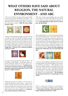# **WHAT OTHERS HAVE SAID ABOUT RELIGION, THE NATURAL ENVIRONMENT - AND ARC**

"Like a tree, the Alliance has grown almost imperceptibly as it put down its roots and added new branches... I am much encouraged by the nature and extent of the projects undertaken by the members of the Alliance to promote the conservation of nature." **HRH The Prince Philip, Founder of ARC.**



"Thanks to the World Bank and ARC, several local NGOs were able to emerge in Cambodia through the monastic network. These new organisations have allowed Cambodian people to become aware of the importance of education, protection of the environment, flora and fauna, the problem of deforestation. And most importantly, they have enabled Cambodian people to act on these things." **Sangha Raja - Patriarch of the Cambodian Buddhists and Patron of ARC.** 



"I was part of the generation that made the choice – the horrendous strategic blunder – of situating ourselves outside the institutions of faith. Now we have a chance to repent of, and reform from that error. " **Carl Pope, Executive Director of the Sierra Club, the oldest and largest grassroots environmental organization in the US with around 1.3 million members.**



"With help and advice from ARC we have been able to develop the Big Green Jewish website - a goal we have had for a number of years. Our aim then and now was to promote in the Jewish community an active concern for environmental issues as part of being Jewish. This is what ARC's assistance has made possible for us." **Neville Sassienie, Board of Deputies of British Jews.**

"ARC opens up ideas and possibilities that may well be new to many in the world of development and economics, but which, as I know from personal experience, do work". **James Wolfensohn in 2003, when he was President, The World Bank** 



"We are gathered here on account of a growing realization that universal religions have a crucial role to play in the instrumental laws, principles and practices for good environmental stewardship. Both as long established codes of social, ethical and environmental good practice, as well as major land-owners, the world's religions each contain references on the need for a healthy environment to allow human beings to flourish and thrive in balance with the non-human world." **Terence Hay Edie speaking on behalf of the UNDP about the new partnership with ARC.**



"So here we have the Alliance of Religions and Conservation gathering like Noah all living things (in this case species of believers and bankers) ... With significant investments from religious groups in innovative projects such as alternative energy, job creation, affordable housing and micro-financing we can realise a major shift toward ethical consciousness, as well as material benefits that advance the healing of our wounded planet." **His All Holiness the Ecumenical Patriarch of Constantinople, Patron of ARC.** 



"ARC is a model of how the faiths can work together. I welcome its contribution in helping to protect our planet," **Prince Hassan of Jordan, a direct descendent of the Prophet Muhammad and Patron of ARC.**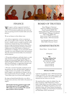

PHOTO: Monks voting for the Buddhist Environment Network, Cambodia

## FINANCE

 ${\cal J}$ e support, and have supported, hundreds of projects around the world since our inception in 1995. We also sponsor publications and events, and assist our growing network of member faiths and secular partners.

We use our finances in three distinct ways:

1. As with any organisation, we have to maintain an office and core staff in order to function. This office has become a valuable resource to people around the world, sometimes in unexpected ways. From small African priories to huge international businesses, from Chinese pagodas to international paper purchasers and forestry conglomerates, from PhD students to Ministers of Environment or or Religion, we are contacted by dozens of people every week, looking for advice and reassurance about the intersection between faiths, the environment and development.

2. We provide small grants, and broker funds, to a wide range of projects, from supporting pilgrimage trails through environmentally fragile regions of Mexico, to helping Mongolian Buddhists rediscover their holy texts about sacred landscapes, to supporting Orthodox nuns wanting to manage their woodland sustainably.

3. We assist a network of specialist consultants providing expertise, site visits, and other kinds of support to a range of projects. For example we have offered this kind of support to the Maronites in Lebanon, who are protecting thousands of hectares of fragile - and sacred - forest lands as part of our Sacred Land Programme.

By using our limited funds effectively, we are able to leverage action and attract other funds to the projects we support.

**This brochure has been printed on paper made from timber grown in FSC-managed forests. ARC's policy is to use recycled or FSC-sourced paper products wherever possible.** 

## BOARD OF TRUSTEES

Brian Pilkington (Chairman) Oded Gera (Pilkington Foundation) David Nussbaum (WWF-UK) Dimitri Oikonomou (MOA International) Isabel Pilkington (Pilkington Foundation) Oliver Smith (WWF-UK) Robert Soutter (WWF International) Shigeo Yamada - MOA International)

Ivan Hattingh (Honorary Trustee) Allerd Stikker (Honorary Trustee)

## ADMINISTRATION

Martin Palmer - Secretary General

*All Enquiries:*

**ARC The House, Kelston Park Bath BA1 9AE, U.K.** Tel: +44 (0)1225 758 004 Fax: (0)1225 442962 www.arcworld.org info@arcworld.org

#### **SPECIAL THANKS**

A special vote of thanks is due to MOA International of Japan and WWF-UK, whose support has been vital to our ability to respond to the new possibilities and demands that have arisen over the years.

We should also like to thank: the Ashden Trust, the Britto Foundation, EMF, Michael Even, Hoares Bank's Golden Bottle Trust, John Goldstein, the Mott Foundation, the Pilkington Foundation, Steven and Marjolaine Schuit, the United Nations Development Programme (UNDP), the United Nations Foundation, the World Bank, WWF–International.